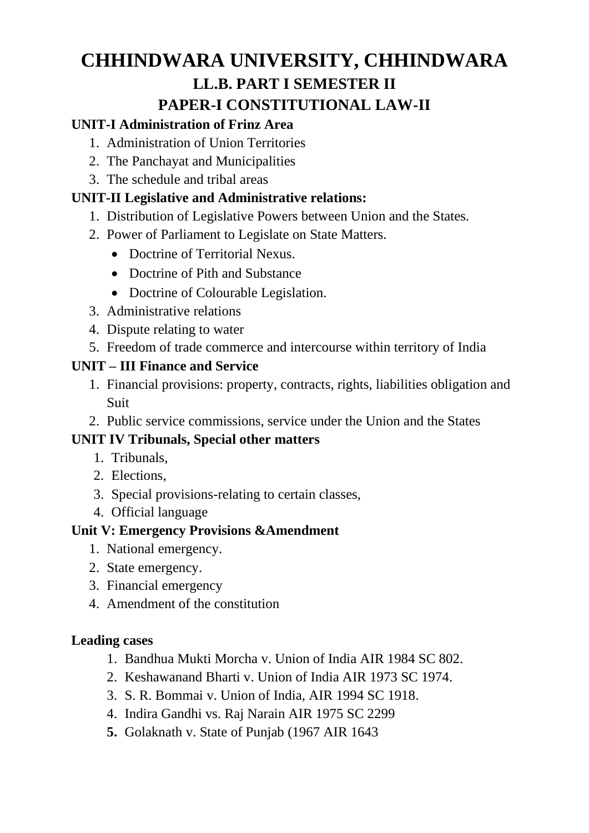# **CHHINDWARA UNIVERSITY, CHHINDWARA LL.B. PART I SEMESTER II PAPER-I CONSTITUTIONAL LAW-II**

# **UNIT-I Administration of Frinz Area**

- 1. Administration of Union Territories
- 2. The Panchayat and Municipalities
- 3. The schedule and tribal areas

### **UNIT-II Legislative and Administrative relations:**

- 1. Distribution of Legislative Powers between Union and the States.
- 2. Power of Parliament to Legislate on State Matters.
	- Doctrine of Territorial Nexus.
	- Doctrine of Pith and Substance
	- Doctrine of Colourable Legislation.
- 3. Administrative relations
- 4. Dispute relating to water
- 5. Freedom of trade commerce and intercourse within territory of India

# **UNIT – III Finance and Service**

- 1. Financial provisions: property, contracts, rights, liabilities obligation and Suit
- 2. Public service commissions, service under the Union and the States

# **UNIT IV Tribunals, Special other matters**

- 1. Tribunals,
- 2. Elections,
- 3. Special provisions-relating to certain classes,
- 4. Official language

#### **Unit V: Emergency Provisions &Amendment**

- 1. National emergency.
- 2. State emergency.
- 3. Financial emergency
- 4. Amendment of the constitution

#### **Leading cases**

- 1. Bandhua Mukti Morcha v. Union of India AIR 1984 SC 802.
- 2. Keshawanand Bharti v. Union of India AIR 1973 SC 1974.
- 3. S. R. Bommai v. Union of India, AIR 1994 SC 1918.
- 4. Indira Gandhi vs. Raj Narain AIR 1975 SC 2299
- **5.** Golaknath v. State of Punjab (1967 AIR 1643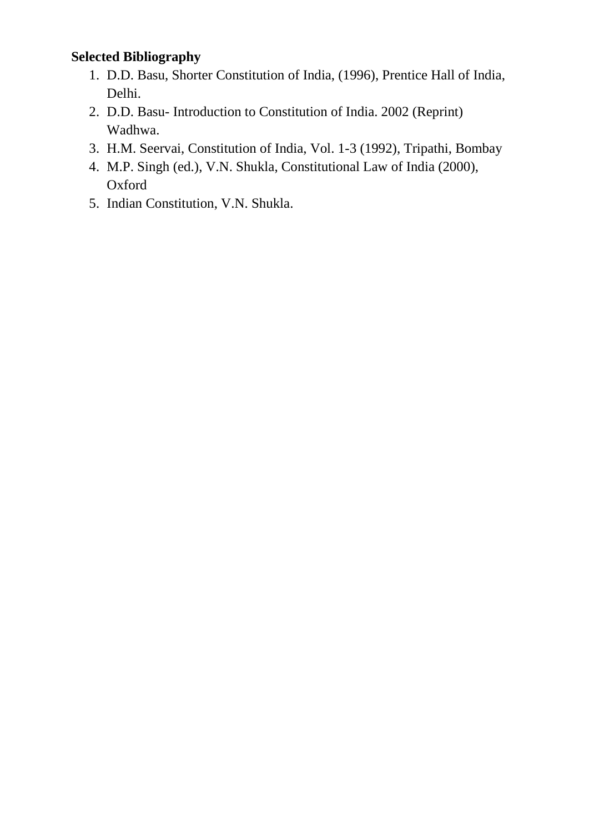# **Selected Bibliography**

- 1. D.D. Basu, Shorter Constitution of India, (1996), Prentice Hall of India, Delhi.
- 2. D.D. Basu- Introduction to Constitution of India. 2002 (Reprint) Wadhwa.
- 3. H.M. Seervai, Constitution of India, Vol. 1-3 (1992), Tripathi, Bombay
- 4. M.P. Singh (ed.), V.N. Shukla, Constitutional Law of India (2000), Oxford
- 5. Indian Constitution, V.N. Shukla.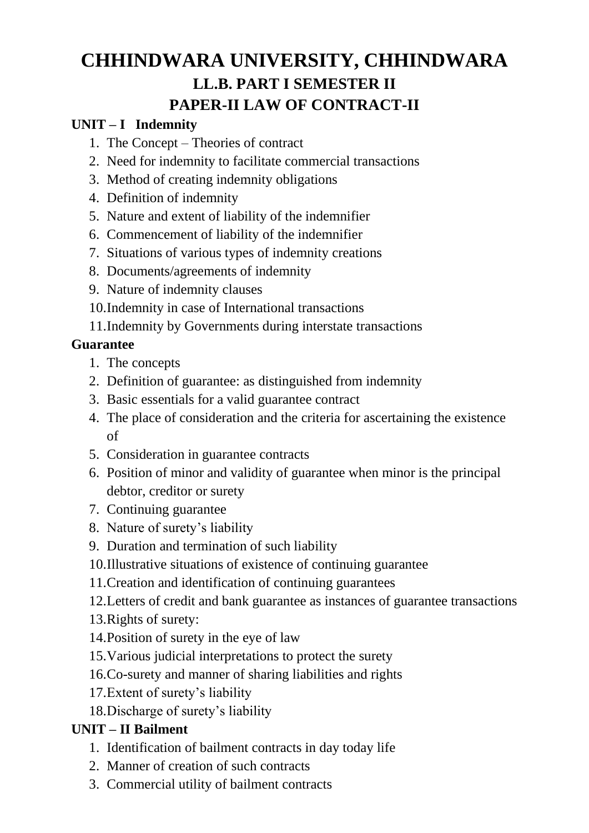# **CHHINDWARA UNIVERSITY, CHHINDWARA LL.B. PART I SEMESTER II PAPER-II LAW OF CONTRACT-II**

### **UNIT – I Indemnity**

- 1. The Concept Theories of contract
- 2. Need for indemnity to facilitate commercial transactions
- 3. Method of creating indemnity obligations
- 4. Definition of indemnity
- 5. Nature and extent of liability of the indemnifier
- 6. Commencement of liability of the indemnifier
- 7. Situations of various types of indemnity creations
- 8. Documents/agreements of indemnity
- 9. Nature of indemnity clauses
- 10.Indemnity in case of International transactions
- 11.Indemnity by Governments during interstate transactions

# **Guarantee**

- 1. The concepts
- 2. Definition of guarantee: as distinguished from indemnity
- 3. Basic essentials for a valid guarantee contract
- 4. The place of consideration and the criteria for ascertaining the existence of
- 5. Consideration in guarantee contracts
- 6. Position of minor and validity of guarantee when minor is the principal debtor, creditor or surety
- 7. Continuing guarantee
- 8. Nature of surety's liability
- 9. Duration and termination of such liability
- 10.Illustrative situations of existence of continuing guarantee
- 11.Creation and identification of continuing guarantees
- 12.Letters of credit and bank guarantee as instances of guarantee transactions
- 13.Rights of surety:
- 14.Position of surety in the eye of law
- 15.Various judicial interpretations to protect the surety
- 16.Co-surety and manner of sharing liabilities and rights
- 17.Extent of surety's liability
- 18.Discharge of surety's liability

# **UNIT – II Bailment**

- 1. Identification of bailment contracts in day today life
- 2. Manner of creation of such contracts
- 3. Commercial utility of bailment contracts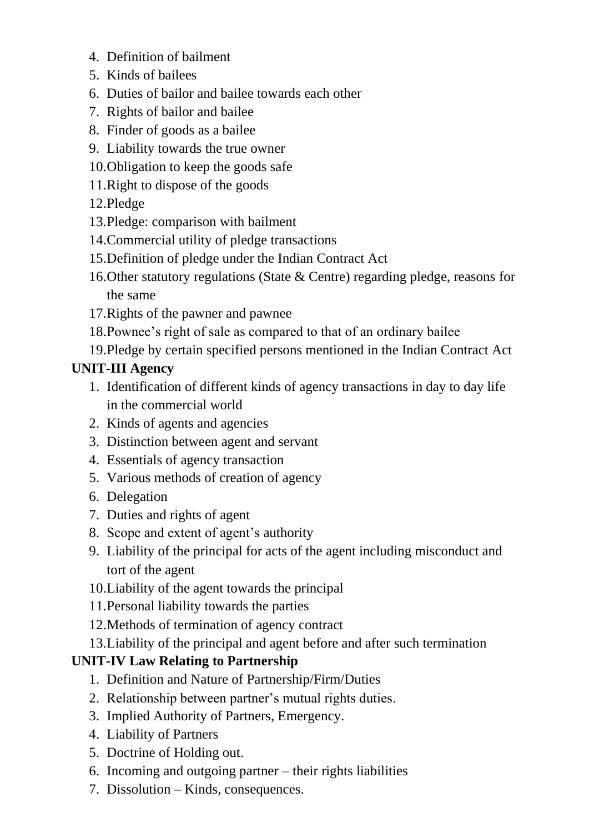- 4. Definition of bailment
- 5. Kinds of bailees
- 6. Duties of bailor and bailee towards each other
- 7. Rights of bailor and bailee
- 8. Finder of goods as a bailee
- 9. Liability towards the true owner
- 10.Obligation to keep the goods safe
- 11.Right to dispose of the goods
- 12.Pledge
- 13.Pledge: comparison with bailment
- 14.Commercial utility of pledge transactions
- 15.Definition of pledge under the Indian Contract Act
- 16.Other statutory regulations (State & Centre) regarding pledge, reasons for the same
- 17.Rights of the pawner and pawnee
- 18.Pownee's right of sale as compared to that of an ordinary bailee
- 19.Pledge by certain specified persons mentioned in the Indian Contract Act

# **UNIT-III Agency**

- 1. Identification of different kinds of agency transactions in day to day life in the commercial world
- 2. Kinds of agents and agencies
- 3. Distinction between agent and servant
- 4. Essentials of agency transaction
- 5. Various methods of creation of agency
- 6. Delegation
- 7. Duties and rights of agent
- 8. Scope and extent of agent's authority
- 9. Liability of the principal for acts of the agent including misconduct and tort of the agent
- 10.Liability of the agent towards the principal
- 11.Personal liability towards the parties
- 12.Methods of termination of agency contract
- 13.Liability of the principal and agent before and after such termination

# **UNIT-IV Law Relating to Partnership**

- 1. Definition and Nature of Partnership/Firm/Duties
- 2. Relationship between partner's mutual rights duties.
- 3. Implied Authority of Partners, Emergency.
- 4. Liability of Partners
- 5. Doctrine of Holding out.
- 6. Incoming and outgoing partner their rights liabilities
- 7. Dissolution Kinds, consequences.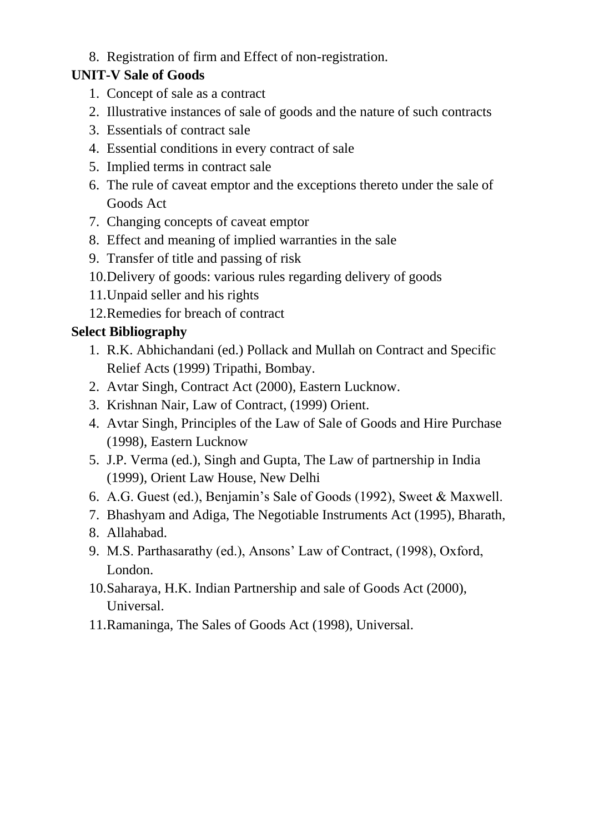8. Registration of firm and Effect of non-registration.

# **UNIT-V Sale of Goods**

- 1. Concept of sale as a contract
- 2. Illustrative instances of sale of goods and the nature of such contracts
- 3. Essentials of contract sale
- 4. Essential conditions in every contract of sale
- 5. Implied terms in contract sale
- 6. The rule of caveat emptor and the exceptions thereto under the sale of Goods Act
- 7. Changing concepts of caveat emptor
- 8. Effect and meaning of implied warranties in the sale
- 9. Transfer of title and passing of risk
- 10.Delivery of goods: various rules regarding delivery of goods
- 11.Unpaid seller and his rights
- 12.Remedies for breach of contract

# **Select Bibliography**

- 1. R.K. Abhichandani (ed.) Pollack and Mullah on Contract and Specific Relief Acts (1999) Tripathi, Bombay.
- 2. Avtar Singh, Contract Act (2000), Eastern Lucknow.
- 3. Krishnan Nair, Law of Contract, (1999) Orient.
- 4. Avtar Singh, Principles of the Law of Sale of Goods and Hire Purchase (1998), Eastern Lucknow
- 5. J.P. Verma (ed.), Singh and Gupta, The Law of partnership in India (1999), Orient Law House, New Delhi
- 6. A.G. Guest (ed.), Benjamin's Sale of Goods (1992), Sweet & Maxwell.
- 7. Bhashyam and Adiga, The Negotiable Instruments Act (1995), Bharath,
- 8. Allahabad.
- 9. M.S. Parthasarathy (ed.), Ansons' Law of Contract, (1998), Oxford, London.
- 10.Saharaya, H.K. Indian Partnership and sale of Goods Act (2000), Universal.
- 11.Ramaninga, The Sales of Goods Act (1998), Universal.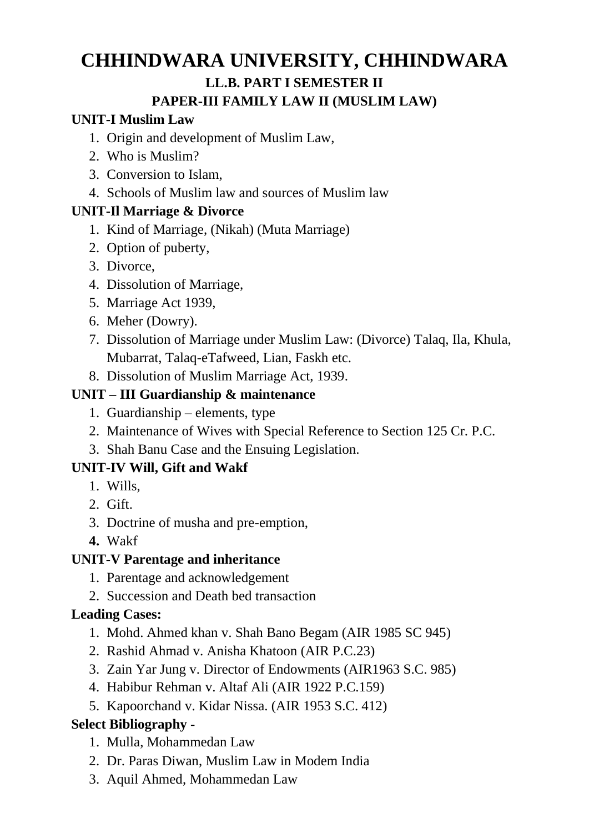# **CHHINDWARA UNIVERSITY, CHHINDWARA LL.B. PART I SEMESTER II**

# **PAPER-III FAMILY LAW II (MUSLIM LAW)**

# **UNIT-I Muslim Law**

- 1. Origin and development of Muslim Law,
- 2. Who is Muslim?
- 3. Conversion to Islam,
- 4. Schools of Muslim law and sources of Muslim law

# **UNIT-Il Marriage & Divorce**

- 1. Kind of Marriage, (Nikah) (Muta Marriage)
- 2. Option of puberty,
- 3. Divorce,
- 4. Dissolution of Marriage,
- 5. Marriage Act 1939,
- 6. Meher (Dowry).
- 7. Dissolution of Marriage under Muslim Law: (Divorce) Talaq, Ila, Khula, Mubarrat, Talaq-eTafweed, Lian, Faskh etc.
- 8. Dissolution of Muslim Marriage Act, 1939.

# **UNIT – III Guardianship & maintenance**

- 1. Guardianship elements, type
- 2. Maintenance of Wives with Special Reference to Section 125 Cr. P.C.
- 3. Shah Banu Case and the Ensuing Legislation.

# **UNIT-IV Will, Gift and Wakf**

- 1. Wills,
- 2. Gift.
- 3. Doctrine of musha and pre-emption,
- **4.** Wakf

# **UNIT-V Parentage and inheritance**

- 1. Parentage and acknowledgement
- 2. Succession and Death bed transaction

# **Leading Cases:**

- 1. Mohd. Ahmed khan v. Shah Bano Begam (AIR 1985 SC 945)
- 2. Rashid Ahmad v. Anisha Khatoon (AIR P.C.23)
- 3. Zain Yar Jung v. Director of Endowments (AIR1963 S.C. 985)
- 4. Habibur Rehman v. Altaf Ali (AIR 1922 P.C.159)
- 5. Kapoorchand v. Kidar Nissa. (AIR 1953 S.C. 412)

# **Select Bibliography -**

- 1. Mulla, Mohammedan Law
- 2. Dr. Paras Diwan, Muslim Law in Modem India
- 3. Aquil Ahmed, Mohammedan Law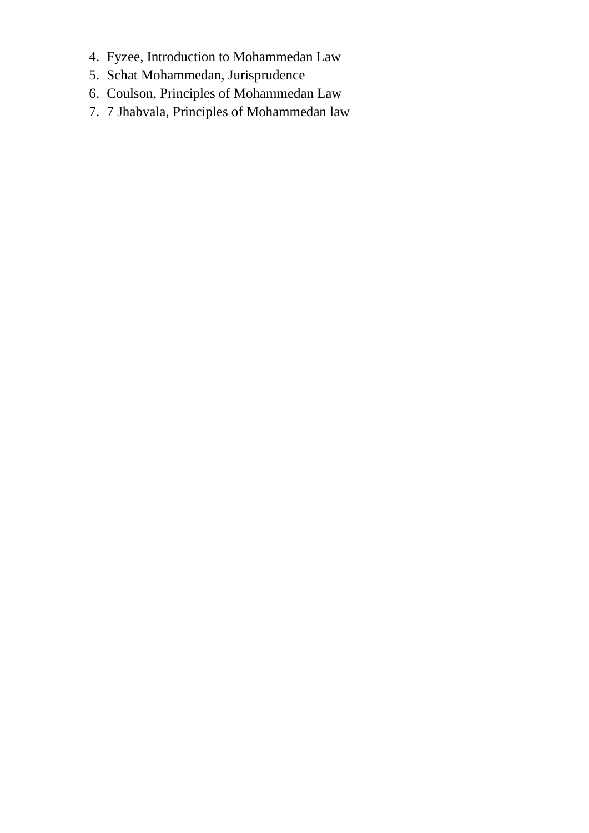- 4. Fyzee, Introduction to Mohammedan Law
- 5. Schat Mohammedan, Jurisprudence
- 6. Coulson, Principles of Mohammedan Law
- 7. 7 Jhabvala, Principles of Mohammedan law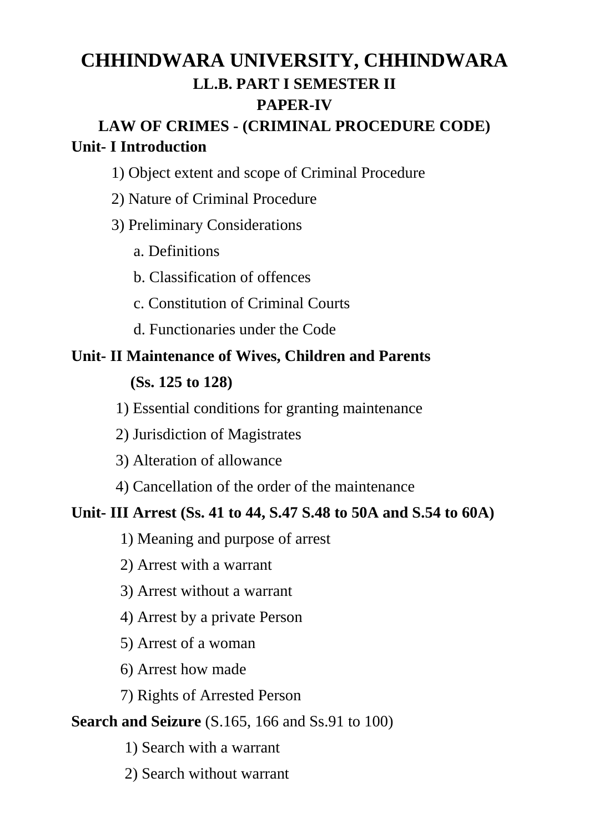# **CHHINDWARA UNIVERSITY, CHHINDWARA LL.B. PART I SEMESTER II PAPER-IV**

# **LAW OF CRIMES - (CRIMINAL PROCEDURE CODE) Unit- I Introduction**

- 1) Object extent and scope of Criminal Procedure
- 2) Nature of Criminal Procedure
- 3) Preliminary Considerations
	- a. Definitions
	- b. Classification of offences
	- c. Constitution of Criminal Courts
	- d. Functionaries under the Code

# **Unit- II Maintenance of Wives, Children and Parents**

# **(Ss. 125 to 128)**

- 1) Essential conditions for granting maintenance
- 2) Jurisdiction of Magistrates
- 3) Alteration of allowance
- 4) Cancellation of the order of the maintenance

# **Unit- III Arrest (Ss. 41 to 44, S.47 S.48 to 50A and S.54 to 60A)**

- 1) Meaning and purpose of arrest
- 2) Arrest with a warrant
- 3) Arrest without a warrant
- 4) Arrest by a private Person
- 5) Arrest of a woman
- 6) Arrest how made
- 7) Rights of Arrested Person

# **Search and Seizure** (S.165, 166 and Ss.91 to 100)

- 1) Search with a warrant
- 2) Search without warrant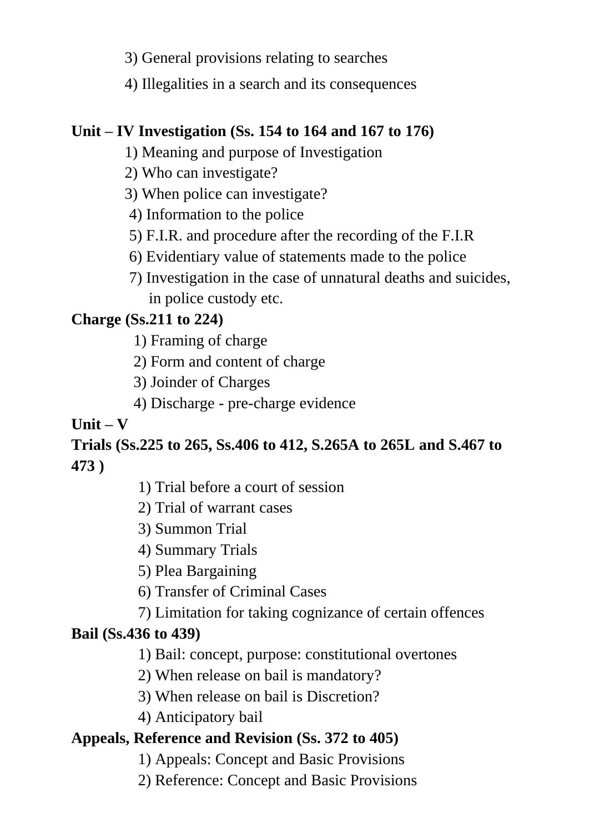3) General provisions relating to searches

4) Illegalities in a search and its consequences

# **Unit – IV Investigation (Ss. 154 to 164 and 167 to 176)**

1) Meaning and purpose of Investigation

2) Who can investigate?

- 3) When police can investigate?
- 4) Information to the police
- 5) F.I.R. and procedure after the recording of the F.I.R
- 6) Evidentiary value of statements made to the police
- 7) Investigation in the case of unnatural deaths and suicides, in police custody etc.

# **Charge (Ss.211 to 224)**

- 1) Framing of charge
- 2) Form and content of charge
- 3) Joinder of Charges
- 4) Discharge pre-charge evidence

# **Unit – V**

# **Trials (Ss.225 to 265, Ss.406 to 412, S.265A to 265L and S.467 to 473 )**

- 1) Trial before a court of session
- 2) Trial of warrant cases
- 3) Summon Trial
- 4) Summary Trials
- 5) Plea Bargaining
- 6) Transfer of Criminal Cases
- 7) Limitation for taking cognizance of certain offences

# **Bail (Ss.436 to 439)**

- 1) Bail: concept, purpose: constitutional overtones
- 2) When release on bail is mandatory?
- 3) When release on bail is Discretion?
- 4) Anticipatory bail

# **Appeals, Reference and Revision (Ss. 372 to 405)**

- 1) Appeals: Concept and Basic Provisions
- 2) Reference: Concept and Basic Provisions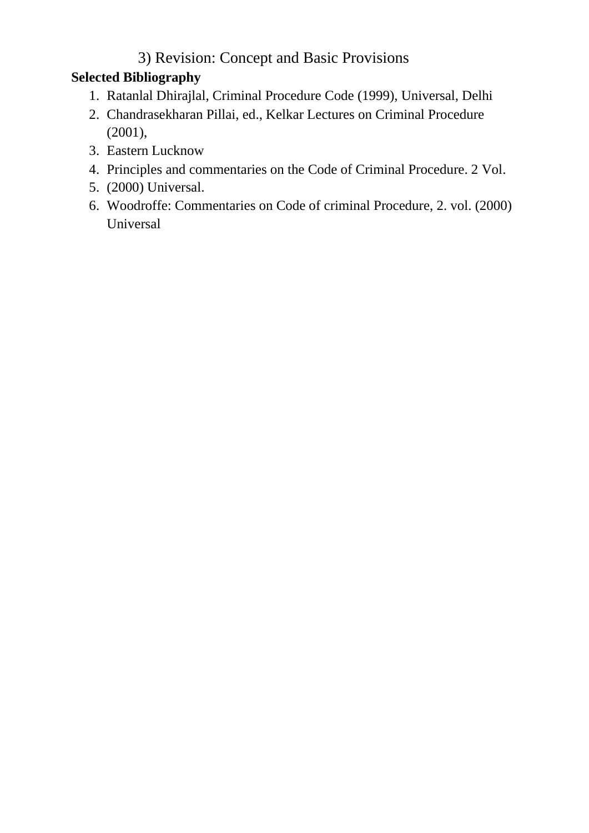# 3) Revision: Concept and Basic Provisions

# **Selected Bibliography**

- 1. Ratanlal Dhirajlal, Criminal Procedure Code (1999), Universal, Delhi
- 2. Chandrasekharan Pillai, ed., Kelkar Lectures on Criminal Procedure (2001),
- 3. Eastern Lucknow
- 4. Principles and commentaries on the Code of Criminal Procedure. 2 Vol.
- 5. (2000) Universal.
- 6. Woodroffe: Commentaries on Code of criminal Procedure, 2. vol. (2000) Universal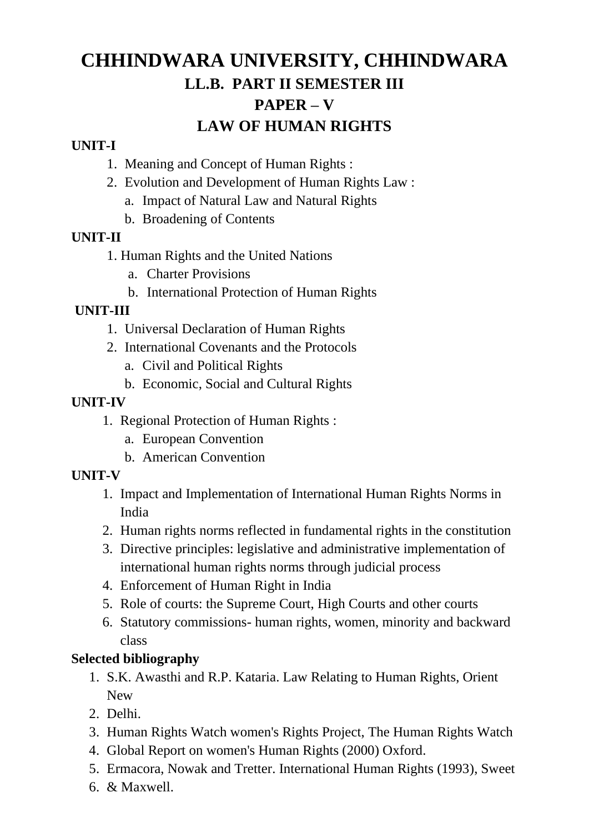# **CHHINDWARA UNIVERSITY, CHHINDWARA LL.B. PART II SEMESTER III PAPER – V LAW OF HUMAN RIGHTS**

# **UNIT-I**

- 1. Meaning and Concept of Human Rights :
- 2. Evolution and Development of Human Rights Law :
	- a. Impact of Natural Law and Natural Rights
	- b. Broadening of Contents

### **UNIT-II**

- 1. Human Rights and the United Nations
	- a. Charter Provisions
	- b. International Protection of Human Rights

### **UNIT-III**

- 1. Universal Declaration of Human Rights
- 2. International Covenants and the Protocols
	- a. Civil and Political Rights
	- b. Economic, Social and Cultural Rights

### **UNIT-IV**

- 1. Regional Protection of Human Rights :
	- a. European Convention
	- b. American Convention

# **UNIT-V**

- 1. Impact and Implementation of International Human Rights Norms in India
- 2. Human rights norms reflected in fundamental rights in the constitution
- 3. Directive principles: legislative and administrative implementation of international human rights norms through judicial process
- 4. Enforcement of Human Right in India
- 5. Role of courts: the Supreme Court, High Courts and other courts
- 6. Statutory commissions- human rights, women, minority and backward class

# **Selected bibliography**

- 1. S.K. Awasthi and R.P. Kataria. Law Relating to Human Rights, Orient New
- 2. Delhi.
- 3. Human Rights Watch women's Rights Project, The Human Rights Watch
- 4. Global Report on women's Human Rights (2000) Oxford.
- 5. Ermacora, Nowak and Tretter. International Human Rights (1993), Sweet
- 6. & Maxwell.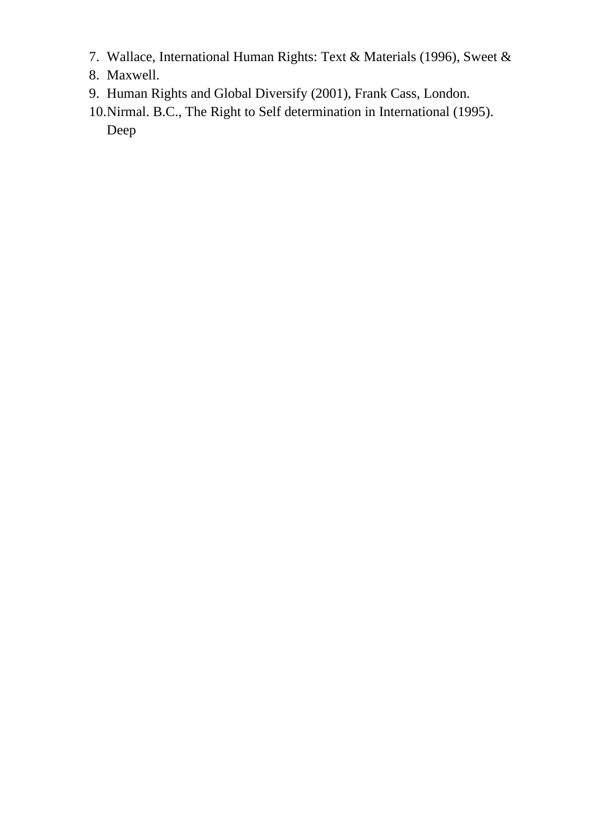- 7. Wallace, International Human Rights: Text & Materials (1996), Sweet &
- 8. Maxwell.
- 9. Human Rights and Global Diversify (2001), Frank Cass, London.
- 10.Nirmal. B.C., The Right to Self determination in International (1995). Deep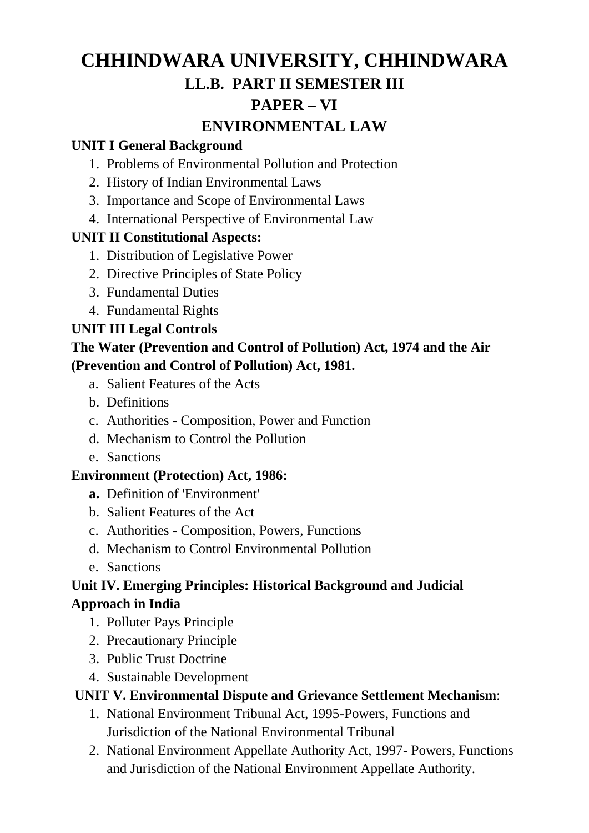# **CHHINDWARA UNIVERSITY, CHHINDWARA LL.B. PART II SEMESTER III PAPER – VI ENVIRONMENTAL LAW**

#### **UNIT I General Background**

- 1. Problems of Environmental Pollution and Protection
- 2. History of Indian Environmental Laws
- 3. Importance and Scope of Environmental Laws
- 4. International Perspective of Environmental Law

### **UNIT II Constitutional Aspects:**

- 1. Distribution of Legislative Power
- 2. Directive Principles of State Policy
- 3. Fundamental Duties
- 4. Fundamental Rights

### **UNIT III Legal Controls**

# **The Water (Prevention and Control of Pollution) Act, 1974 and the Air (Prevention and Control of Pollution) Act, 1981.**

- a. Salient Features of the Acts
- b. Definitions
- c. Authorities Composition, Power and Function
- d. Mechanism to Control the Pollution
- e. Sanctions

# **Environment (Protection) Act, 1986:**

- **a.** Definition of 'Environment'
- b. Salient Features of the Act
- c. Authorities Composition, Powers, Functions
- d. Mechanism to Control Environmental Pollution
- e. Sanctions

# **Unit IV. Emerging Principles: Historical Background and Judicial Approach in India**

- 1. Polluter Pays Principle
- 2. Precautionary Principle
- 3. Public Trust Doctrine
- 4. Sustainable Development

# **UNIT V. Environmental Dispute and Grievance Settlement Mechanism**:

- 1. National Environment Tribunal Act, 1995-Powers, Functions and Jurisdiction of the National Environmental Tribunal
- 2. National Environment Appellate Authority Act, 1997- Powers, Functions and Jurisdiction of the National Environment Appellate Authority.